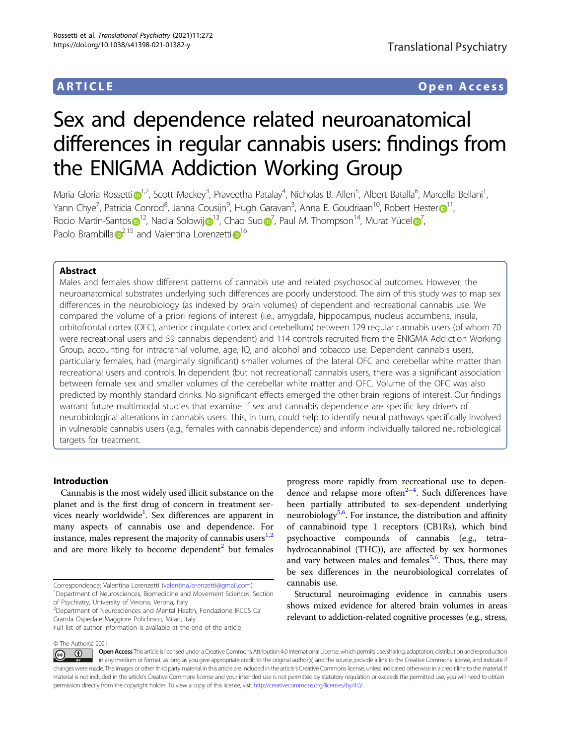# ARTICLE Open Access

# Sex and dependence related neuroanatomical differences in regular cannabis users: findings from the ENIGMA Addiction Working Group

Mar[i](http://orcid.org/0000-0001-7843-8721)a Gloria Rossetti $\odot^{1,2}$  $\odot^{1,2}$  $\odot^{1,2}$ , Scott Mackey<sup>3</sup>, Praveetha Patalay<sup>4</sup>, Nicholas B. Allen<sup>5</sup>, Albert Batalla<sup>6</sup>, Marcella Bellani<sup>1</sup> , Yann Chye<sup>7</sup>, Pat[r](http://orcid.org/0000-0003-0982-8026)icia Conrod<sup>8</sup>, Janna Cousijn<sup>9</sup>, Hugh Garavan<sup>3</sup>, Anna E. Goudriaan<sup>[1](http://orcid.org/0000-0003-0982-8026)0</sup>, Robert Hester $\bigcirc$ 11, Rocio Martin-Santo[s](http://orcid.org/0000-0003-4150-4726) $\bigcirc^1$  $\bigcirc^1$ <sup>2</sup>, Nadia Solowi[j](http://orcid.org/0000-0002-5222-5637) $\bigcirc^1$ <sup>3</sup>, Cha[o](http://orcid.org/0000-0002-9358-6690) Suo $\bigcirc^7$  $\bigcirc^7$ , Paul M. Thompson<sup>14</sup>, Murat Yücel $\bigcirc^7$ , Paolo Bramb[i](http://orcid.org/0000-0002-5917-7068)lla  $\sigma^{2,15}$  $\sigma^{2,15}$  $\sigma^{2,15}$  $\sigma^{2,15}$  $\sigma^{2,15}$  and Valentina Lorenzetti  $\sigma^{16}$ 

### Abstract

Males and females show different patterns of cannabis use and related psychosocial outcomes. However, the neuroanatomical substrates underlying such differences are poorly understood. The aim of this study was to map sex differences in the neurobiology (as indexed by brain volumes) of dependent and recreational cannabis use. We compared the volume of a priori regions of interest (i.e., amygdala, hippocampus, nucleus accumbens, insula, orbitofrontal cortex (OFC), anterior cingulate cortex and cerebellum) between 129 regular cannabis users (of whom 70 were recreational users and 59 cannabis dependent) and 114 controls recruited from the ENIGMA Addiction Working Group, accounting for intracranial volume, age, IQ, and alcohol and tobacco use. Dependent cannabis users, particularly females, had (marginally significant) smaller volumes of the lateral OFC and cerebellar white matter than recreational users and controls. In dependent (but not recreational) cannabis users, there was a significant association between female sex and smaller volumes of the cerebellar white matter and OFC. Volume of the OFC was also predicted by monthly standard drinks. No significant effects emerged the other brain regions of interest. Our findings warrant future multimodal studies that examine if sex and cannabis dependence are specific key drivers of neurobiological alterations in cannabis users. This, in turn, could help to identify neural pathways specifically involved in vulnerable cannabis users (e.g., females with cannabis dependence) and inform individually tailored neurobiological targets for treatment.

# Introduction

Cannabis is the most widely used illicit substance on the planet and is the first drug of concern in treatment ser-vices nearly worldwide<sup>[1](#page-9-0)</sup>. Sex differences are apparent in many aspects of cannabis use and dependence. For instance, males represent the majority of cannabis users $1,2$  $1,2$  $1,2$ and are more likely to become dependent<sup>[2](#page-9-0)</sup> but females

<sup>1</sup>Department of Neurosciences, Biomedicine and Movement Sciences, Section of Psychiatry, University of Verona, Verona, Italy

progress more rapidly from recreational use to dependence and relapse more often $2-4$  $2-4$  $2-4$ . Such differences have been partially attributed to sex-dependent underlying neurobiology<sup>[5,6](#page-9-0)</sup>. For instance, the distribution and affinity of cannabinoid type 1 receptors (CB1Rs), which bind psychoactive compounds of cannabis (e.g., tetrahydrocannabinol (THC)), are affected by sex hormones and vary between males and females<sup>[5,6](#page-9-0)</sup>. Thus, there may be sex differences in the neurobiological correlates of cannabis use.

Structural neuroimaging evidence in cannabis users shows mixed evidence for altered brain volumes in areas relevant to addiction-related cognitive processes (e.g., stress,

© The Author(s) 2021

Open Access This article is licensed under a Creative Commons Attribution 4.0 International License, which permits use, sharing, adaptation, distribution and reproduction (i)  $\left[{\rm (cc)}\right]$ in any medium or format, as long as you give appropriate credit to the original author(s) and the source, provide a link to the Creative Commons license, and indicate if changes were made. The images or other third party material in this article are included in the article's Creative Commons license, unless indicated otherwise in a credit line to the material. If material is not included in the article's Creative Commons license and your intended use is not permitted by statutory regulation or exceeds the permitted use, you will need to obtain permission directly from the copyright holder. To view a copy of this license, visit <http://creativecommons.org/licenses/by/4.0/>.

Correspondence: Valentina Lorenzetti ([valentina.lorenzetti@gmail.com](mailto:valentina.lorenzetti@gmail.com)) <sup>1</sup>

<sup>2</sup> Department of Neurosciences and Mental Health, Fondazione IRCCS Ca' Granda Ospedale Maggiore Policlinico, Milan, Italy

Full list of author information is available at the end of the article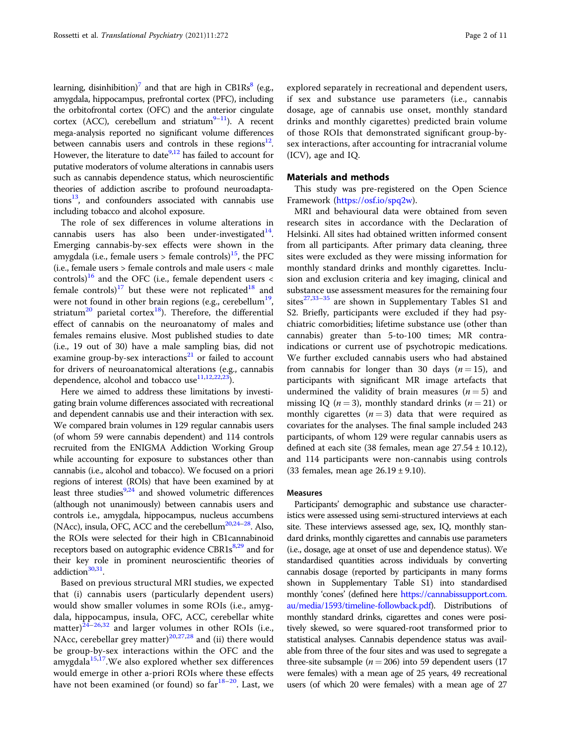learning, disinhibition)<sup>[7](#page-9-0)</sup> and that are high in CB1Rs<sup>8</sup> (e.g., amygdala, hippocampus, prefrontal cortex (PFC), including the orbitofrontal cortex (OFC) and the anterior cingulate cortex (ACC), cerebellum and striatum<sup>9–[11](#page-9-0)</sup>). A recent mega-analysis reported no significant volume differences between cannabis users and controls in these regions $12$ . However, the literature to date  $9,12$  $9,12$  $9,12$  has failed to account for putative moderators of volume alterations in cannabis users such as cannabis dependence status, which neuroscientific theories of addiction ascribe to profound neuroadaptations $^{13}$ , and confounders associated with cannabis use including tobacco and alcohol exposure.

The role of sex differences in volume alterations in cannabis users has also been under-investigated $14$ . Emerging cannabis-by-sex effects were shown in the amygdala (i.e., female users  $>$  female controls)<sup>[15](#page-9-0)</sup>, the PFC (i.e., female users > female controls and male users < male controls)<sup>[16](#page-9-0)</sup> and the OFC (i.e., female dependent users  $\lt$ female controls)<sup>[17](#page-9-0)</sup> but these were not replicated<sup>[18](#page-9-0)</sup> and were not found in other brain regions (e.g., cerebellum<sup>[19](#page-9-0)</sup>, striatum<sup>[20](#page-9-0)</sup> parietal cortex<sup>[18](#page-9-0)</sup>). Therefore, the differential effect of cannabis on the neuroanatomy of males and females remains elusive. Most published studies to date (i.e., 19 out of 30) have a male sampling bias, did not examine group-by-sex interactions<sup>[21](#page-9-0)</sup> or failed to account for drivers of neuroanatomical alterations (e.g., cannabis dependence, alcohol and tobacco use $11,12,22,23$ ).

Here we aimed to address these limitations by investigating brain volume differences associated with recreational and dependent cannabis use and their interaction with sex. We compared brain volumes in 129 regular cannabis users (of whom 59 were cannabis dependent) and 114 controls recruited from the ENIGMA Addiction Working Group while accounting for exposure to substances other than cannabis (i.e., alcohol and tobacco). We focused on a priori regions of interest (ROIs) that have been examined by at least three studies $9,24$  and showed volumetric differences (although not unanimously) between cannabis users and controls i.e., amygdala, hippocampus, nucleus accumbens (NAcc), insula, OFC, ACC and the cerebellum<sup>20,[24](#page-9-0)–[28](#page-9-0)</sup>. Also, the ROIs were selected for their high in CB1cannabinoid receptors based on autographic evidence  $CBR1s^{8,29}$  $CBR1s^{8,29}$  $CBR1s^{8,29}$  $CBR1s^{8,29}$  $CBR1s^{8,29}$  and for their key role in prominent neuroscientific theories of addiction $30,31$ .

Based on previous structural MRI studies, we expected that (i) cannabis users (particularly dependent users) would show smaller volumes in some ROIs (i.e., amygdala, hippocampus, insula, OFC, ACC, cerebellar white matter) $2\overline{4}$ –[26](#page-9-0),[32](#page-9-0) and larger volumes in other ROIs (i.e., NAcc, cerebellar grey matter)<sup>[20](#page-9-0),[27](#page-9-0),[28](#page-9-0)</sup> and (ii) there would be group-by-sex interactions within the OFC and the amygdal $a^{15,17}$  $a^{15,17}$  $a^{15,17}$  $a^{15,17}$  $a^{15,17}$ . We also explored whether sex differences would emerge in other a-priori ROIs where these effects have not been examined (or found) so  $far^{18-20}$  $far^{18-20}$  $far^{18-20}$  $far^{18-20}$  $far^{18-20}$ . Last, we

explored separately in recreational and dependent users, if sex and substance use parameters (i.e., cannabis dosage, age of cannabis use onset, monthly standard drinks and monthly cigarettes) predicted brain volume of those ROIs that demonstrated significant group-bysex interactions, after accounting for intracranial volume (ICV), age and IQ.

#### Materials and methods

This study was pre-registered on the Open Science Framework [\(https://osf.io/spq2w\)](https://osf.io/spq2w).

MRI and behavioural data were obtained from seven research sites in accordance with the Declaration of Helsinki. All sites had obtained written informed consent from all participants. After primary data cleaning, three sites were excluded as they were missing information for monthly standard drinks and monthly cigarettes. Inclusion and exclusion criteria and key imaging, clinical and substance use assessment measures for the remaining four sites $27,33-35$  $27,33-35$  $27,33-35$  are shown in Supplementary Tables S1 and S2. Briefly, participants were excluded if they had psychiatric comorbidities; lifetime substance use (other than cannabis) greater than 5-to-100 times; MR contraindications or current use of psychotropic medications. We further excluded cannabis users who had abstained from cannabis for longer than 30 days  $(n = 15)$ , and participants with significant MR image artefacts that undermined the validity of brain measures  $(n=5)$  and missing IQ ( $n = 3$ ), monthly standard drinks ( $n = 21$ ) or monthly cigarettes  $(n=3)$  data that were required as covariates for the analyses. The final sample included 243 participants, of whom 129 were regular cannabis users as defined at each site (38 females, mean age  $27.54 \pm 10.12$ ), and 114 participants were non-cannabis using controls (33 females, mean age  $26.19 \pm 9.10$ ).

#### Measures

Participants' demographic and substance use characteristics were assessed using semi-structured interviews at each site. These interviews assessed age, sex, IQ, monthly standard drinks, monthly cigarettes and cannabis use parameters (i.e., dosage, age at onset of use and dependence status). We standardised quantities across individuals by converting cannabis dosage (reported by participants in many forms shown in Supplementary Table S1) into standardised monthly 'cones' (defined here [https://cannabissupport.com.](https://cannabissupport.com.au/media/1593/timeline-followback.pdf) [au/media/1593/timeline-followback.pdf\)](https://cannabissupport.com.au/media/1593/timeline-followback.pdf). Distributions of monthly standard drinks, cigarettes and cones were positively skewed, so were squared-root transformed prior to statistical analyses. Cannabis dependence status was available from three of the four sites and was used to segregate a three-site subsample ( $n = 206$ ) into 59 dependent users (17 were females) with a mean age of 25 years, 49 recreational users (of which 20 were females) with a mean age of 27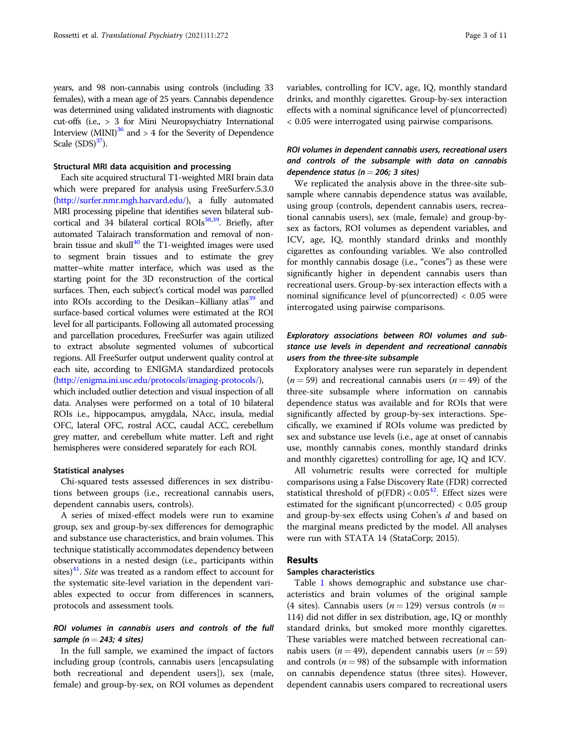years, and 98 non-cannabis using controls (including 33 females), with a mean age of 25 years. Cannabis dependence was determined using validated instruments with diagnostic cut-offs (i.e., > 3 for Mini Neuropsychiatry International Interview  $(MINI)^{36}$  and > 4 for the Severity of Dependence Scale  $(SDS)^{37}$ ).

#### Structural MRI data acquisition and processing

Each site acquired structural T1-weighted MRI brain data which were prepared for analysis using FreeSurferv.5.3.0 ([http://surfer.nmr.mgh.harvard.edu/\)](http://surfer.nmr.mgh.harvard.edu/), a fully automated MRI processing pipeline that identifies seven bilateral subcortical and 34 bilateral cortical  $ROIs<sup>38,39</sup>$ . Briefly, after automated Talairach transformation and removal of nonbrain tissue and skull $40$  the T1-weighted images were used to segment brain tissues and to estimate the grey matter–white matter interface, which was used as the starting point for the 3D reconstruction of the cortical surfaces. Then, each subject's cortical model was parcelled into ROIs according to the Desikan–Killiany atlas<sup>39</sup> and surface-based cortical volumes were estimated at the ROI level for all participants. Following all automated processing and parcellation procedures, FreeSurfer was again utilized to extract absolute segmented volumes of subcortical regions. All FreeSurfer output underwent quality control at each site, according to ENIGMA standardized protocols ([http://enigma.ini.usc.edu/protocols/imaging-protocols/\)](http://enigma.ini.usc.edu/protocols/imaging-protocols/),

which included outlier detection and visual inspection of all data. Analyses were performed on a total of 10 bilateral ROIs i.e., hippocampus, amygdala, NAcc, insula, medial OFC, lateral OFC, rostral ACC, caudal ACC, cerebellum grey matter, and cerebellum white matter. Left and right hemispheres were considered separately for each ROI.

#### Statistical analyses

Chi-squared tests assessed differences in sex distributions between groups (i.e., recreational cannabis users, dependent cannabis users, controls).

A series of mixed-effect models were run to examine group, sex and group-by-sex differences for demographic and substance use characteristics, and brain volumes. This technique statistically accommodates dependency between observations in a nested design (i.e., participants within sites) $41$ . Site was treated as a random effect to account for the systematic site-level variation in the dependent variables expected to occur from differences in scanners, protocols and assessment tools.

# ROI volumes in cannabis users and controls of the full sample ( $n = 243$ ; 4 sites)

In the full sample, we examined the impact of factors including group (controls, cannabis users [encapsulating both recreational and dependent users]), sex (male, female) and group-by-sex, on ROI volumes as dependent variables, controlling for ICV, age, IQ, monthly standard drinks, and monthly cigarettes. Group-by-sex interaction effects with a nominal significance level of p(uncorrected) < 0.05 were interrogated using pairwise comparisons.

# ROI volumes in dependent cannabis users, recreational users and controls of the subsample with data on cannabis dependence status ( $n = 206$ ; 3 sites)

We replicated the analysis above in the three-site subsample where cannabis dependence status was available, using group (controls, dependent cannabis users, recreational cannabis users), sex (male, female) and group-bysex as factors, ROI volumes as dependent variables, and ICV, age, IQ, monthly standard drinks and monthly cigarettes as confounding variables. We also controlled for monthly cannabis dosage (i.e., "cones") as these were significantly higher in dependent cannabis users than recreational users. Group-by-sex interaction effects with a nominal significance level of p(uncorrected) < 0.05 were interrogated using pairwise comparisons.

# Exploratory associations between ROI volumes and substance use levels in dependent and recreational cannabis users from the three-site subsample

Exploratory analyses were run separately in dependent  $(n = 59)$  and recreational cannabis users  $(n = 49)$  of the three-site subsample where information on cannabis dependence status was available and for ROIs that were significantly affected by group-by-sex interactions. Specifically, we examined if ROIs volume was predicted by sex and substance use levels (i.e., age at onset of cannabis use, monthly cannabis cones, monthly standard drinks and monthly cigarettes) controlling for age, IQ and ICV.

All volumetric results were corrected for multiple comparisons using a False Discovery Rate (FDR) corrected statistical threshold of  $p(FDR) < 0.05<sup>42</sup>$ . Effect sizes were estimated for the significant p(uncorrected) < 0.05 group and group-by-sex effects using Cohen's d and based on the marginal means predicted by the model. All analyses were run with STATA 14 (StataCorp; 2015).

# Results

#### Samples characteristics

Table [1](#page-3-0) shows demographic and substance use characteristics and brain volumes of the original sample (4 sites). Cannabis users ( $n = 129$ ) versus controls ( $n =$ 114) did not differ in sex distribution, age, IQ or monthly standard drinks, but smoked more monthly cigarettes. These variables were matched between recreational cannabis users ( $n = 49$ ), dependent cannabis users ( $n = 59$ ) and controls ( $n = 98$ ) of the subsample with information on cannabis dependence status (three sites). However, dependent cannabis users compared to recreational users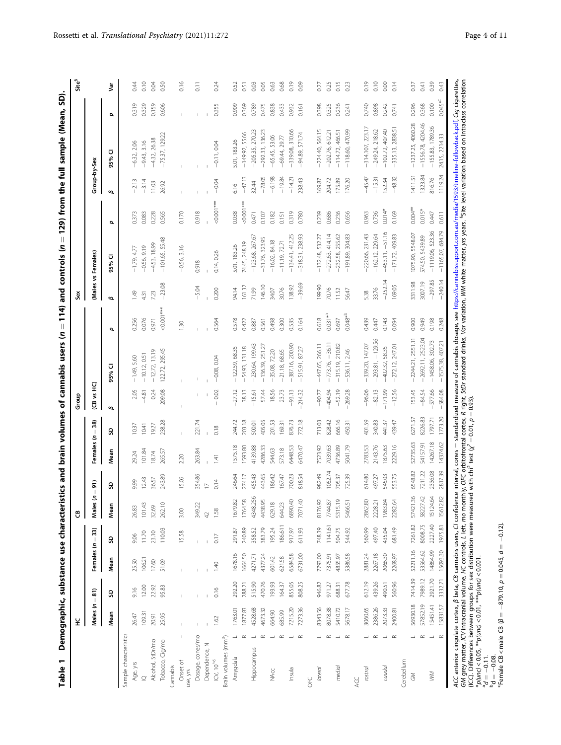|                                         | 呈                |                  |                    |         | ප                  |                                       |            |                  | Group                 |                                     |                                 | SeX             |                                |                |              |                                       |                | Site <sup>s</sup>  |
|-----------------------------------------|------------------|------------------|--------------------|---------|--------------------|---------------------------------------|------------|------------------|-----------------------|-------------------------------------|---------------------------------|-----------------|--------------------------------|----------------|--------------|---------------------------------------|----------------|--------------------|
|                                         | Males $(n = 81)$ |                  | Females $(n = 33)$ |         | s<br>Males         | $\widehat{\mathsf{n}}$<br>$\parallel$ | Females (n | $=$ 38)          | (CB vs HC)            |                                     |                                 |                 | (Males vs Females)             |                | Group-by-Sex |                                       |                |                    |
|                                         | Mean             | es               | Mean               | G       | Mean               | G                                     | Mean       | es               | ø                     | ⊽<br>95%                            | đ                               | ø               | 95% CI                         | p              | ø            | ⊽<br>95%                              | O.             | š                  |
| Sample characteristics                  |                  |                  |                    |         |                    |                                       |            |                  |                       |                                     |                                 |                 |                                |                |              |                                       |                |                    |
| Age, yrs                                | 26.47            | 9.16             | 25.50              | 9.06    | 26.83              | 9.99                                  | 29.24      | 10.37            | 2.05                  | $-1.49, 5.60$                       | 0.256                           | 1.49            | $-1.79, 4.77$                  | 0.373          | $-2.13$      | $-6.32, 2.06$                         | 0.319          | 0.44               |
| $\supseteq$                             | 10931            | 12.00            | 106.21             | 11.70   | 101.43             | 12.43                                 | 101.84     | 10.41            | $-4.81$               | $-10.12, 0.51$                      | 0.076                           | 4.31            | $-0.56, 9.19$                  | 0.083          | $-3.14$      | $-9.43, 3.16$                         | 0.329          | 0.10               |
| Alcohol, StDr/mo                        | 20.91            | 22.92            | 17.60              | 23.10   | 32.69              | 36.57                                 | 18.74      | 19.27            | 0.24                  | $-12.72, 13.19$                     | 0.971                           | 7.23            | $-4.53, 18.99$                 | 0228           | 11.03        | $-4.32, 26.38$                        | 0.159          | 0.04               |
| Tobacco, Cig/mo                         | 25.95            | 95.83            | 51.09              | 110.03  | 262.10             | 243.89                                | 265.57     | 238.28           | 209.08                | 122.72, 295.45                      | $<0.001***$                     | $-23.08$        | $-101.65, 55.48$               | 0.565          | 26.92        | $-75.37, 129.22$                      | 0.606          | 0.50               |
| Cannabis                                |                  |                  |                    |         |                    |                                       |            |                  |                       |                                     |                                 |                 |                                |                |              |                                       |                |                    |
| J.<br>Onset of<br>use, yrs              | J.               |                  | J.                 | 15.58   | 3.00               | 15.06                                 | 2.20       | J.               |                       |                                     | 1.30                            |                 | $-0.56, 3.16$                  | 0.170          |              |                                       |                | 0.16               |
| Dosage, cones/mo                        |                  |                  |                    |         | 349.22             | 354.86                                | 263.84     | 221.74           |                       |                                     |                                 | $-5.04$         | 0.918                          | 0.918          |              |                                       |                | $\overline{0}$ .11 |
| Dependence, N                           |                  |                  |                    |         | $42\,$             | $\geq$                                |            |                  |                       |                                     |                                 |                 |                                |                |              |                                       |                |                    |
| $\mathsf{ICV},\,10^{^{\wedge 6}}$       | 1.62             | 0.16             | 1.40               | 0.17    | 1.58               | 0.14                                  | 141        | 0.18             | $-0.02$               | $-0.08, 0.04$                       | 0.564                           | 0.200           | 0.14, 0.26                     | $<0.001***$    | $-0.04$      | $-0.11, 0.04$                         | 0.355          | 0.24               |
| Brain volumes (mm <sup>3</sup> )        |                  |                  |                    |         |                    |                                       |            |                  |                       |                                     |                                 |                 |                                |                |              |                                       |                |                    |
| Amygdala                                | 1763.01          | 292.20           | 1678.16            | 291.87  | 1679.82            | 246.64                                | 1575.18    | 244.72           | $-27.12$              | $-122.59, 68.35$                    | 0.578                           | 94.14           | 5.01, 183.26                   | 0.038          | 6.16         | 5.01, 183.26                          | 0.909          | 0.52               |
| $\simeq$                                | 1877.83          | 288.21           | 1664.50            | 240.89  | 1764.58            | 274.17                                | 1593.80    | 203.18           | 38.13                 | $-54.93, 131.18$                    | 0.422                           | 161.32          | 74.45, 248.19                  | $< 0.001***$   | $-47.13$     | $-149.92, 55.66$                      | 0.369          | 0.51               |
| $\overline{\phantom{0}}$<br>Hippocampus | 4528.68          | 515.90           | 4271.71            | 358.52  | 4348.256           | 455.43                                | 4139.88    | 500.01           | $-15.61$              | $-230.64, 199.43$                   | 0.887                           | 71.99           | $-123.68, 267.67$              | 0.471          | 32.44        | $-205.35, 270.23$                     | 0.789          | 0.03               |
| $\simeq$                                | 4673.32          | 470.76           | 4377.24            | 383.79  | 4438.95            | 443.65                                | 4286.33    | 405.05           | 57.44                 | $-136.39, 251.27$                   | 0.561                           | 146.10          | $-31.76, 323.95$               | 0.107          | $-78.05$     | $-292.33, 136.23$                     | 0.475          | 0.05               |
| $\overline{\phantom{a}}$<br><b>NAcc</b> | 664.90           | 193.93           | 601.42             | 195.24  | 629.18             | 86.42                                 | 544.63     | 201.53           | 18.56                 | $-35.08, 72.20$                     | 0.498                           | 34.07           | $-16.02, 84.18$                | 0.182          | $-6.198$     | $-65.45, 53.06$                       | 0.838          | 0.63               |
| $\simeq$                                | 685.99           | 164.37           | 621.58             | 186.611 | 644.23             | 67.47                                 | 573.18     | 169.31           | 23.73                 | $-21.18, 68.65$                     | 0.300                           | 30.76           | $-11.19, 72.71$                | 0.151          | $-19.84$     | $-69.44, 29.77$                       | 0.433          | 0.68               |
| $\overline{\phantom{a}}$<br>Insula      | 7215.20          | 855.05           | 6584.58            | 917.97  | 6890.40            | 700.23                                | 6448.53    | 876.73           | $-93.13$              | $-387.16, 200.90$                   | 0.535                           | 138.92          | $-134.41, 412.25$              | 0.319          | $-14.21$     | $-339.08, 310.66$                     | 0.932          | 0.19               |
| $\alpha$<br><b>DEC</b>                  | 7273.36          | 808.25           | 6731.00            | 611.93  | 7071.40            | 818.54                                | 6470.47    | 772.18           | $-214.32$             | $-515.91, 8727$                     | 0.164                           | $-39.69$        | $-318.31, 238.93$              | 0.780          | 238.43       | $-94.89,571.74$                       | 0.161          | 0.09               |
|                                         | 8343.56          |                  | 7793.00            | 748.39  |                    |                                       | 7523.92    |                  |                       | 266.11                              |                                 |                 | 532.27                         |                | 169.87       |                                       |                |                    |
| $\simeq$<br>lateral                     | 8078.38          | 946.82<br>971.27 | 7375.91            | 1141.61 | 8176.92<br>7744.87 | 1052.74<br>982.49                     | 7039.63    | 713.03<br>828.42 | $-404.94$<br>$-90.77$ | $-36.11$<br>$-447.65,$<br>$-773.76$ | $0.031**$ <sup>2</sup><br>0.618 | 199.90<br>70.76 | $-272.63, 414.14$<br>$-132.48$ | 0.239<br>0.686 | 204.72       | $-224.40, 564.15$<br>$-202.76, 61221$ | 0.325<br>0.398 | 0.25<br>0.27       |
| $\overline{\phantom{a}}$<br>medial      | 5410.72          | 688.31           | 4855.97            | 504.75  | 5315.19            | 705.37                                | 4736.89    | 666.16           | $-52.19$              | $-315.19, 210.82$                   | 0.697                           | 11.52           | $-232.58, 255.62$              | 0.236          | 175.89       | $-114.72, 466.51$                     | 0.236          | 0.15               |
| $\propto$                               | 5678.17          | 677.78           | 5386.58            | 544.92  | 5466.51            | 725.39                                | 5041.79    | 450.31           | $-269.28$             | $-536.11, 2.46$                     | $0.048*^{b}$                    | 56.47           | 304.83<br>$-191.89$            | 0.656          | 176.20       | $-118.60, 470.99$                     | 0.241          | 0.23               |
| ACC                                     |                  |                  |                    |         |                    |                                       |            |                  |                       |                                     |                                 |                 |                                |                |              |                                       |                |                    |
| rostral                                 | 3060.65          | 612.19           | 2881.24            | 560.99  | 2862.80            | 614.80                                | 2783.53    | 401.59           | $-96.06$              | 147.07<br>$-339.20$                 | 0.439                           | 5.38            | $-220.66, 231.43$              | 0.963          | $-45.47$     | $-314.107, 223.17$                    | 0.740          | 0.19               |
| $\simeq$                                | 2386.26          | 439.26           | 2267.18            | 497.40  | 2228.21            | 497.27                                | 2143.76    | 340.83           | $-82.13$              | $-129.56$<br>$-293.81$              | 0.447                           | 33.76           | $-162.12, 229.64$              | 0.736          | $-15.31$     | $-249.24, 218.62$                     | 0.898          | 0.10               |
| $\overline{\phantom{a}}$<br>caudal      | 2073.33          | 490.51           | 2066.30            | 435.04  | 1983.84            | 545.03                                | 1875.63    | 441.37           | $-171.99$             | 58.35<br>$-402.32$                  | 0.143                           | $-252.14$       | $-453.11, -51.16$              | $0.014*$       | 152.34       | $-102.72, 407.40$                     | 0.242          | 0.00               |
| $\propto$                               | 2400.81          | 560.96           | 2268.97            | 681.49  | 2282.64            | 553.75                                | 2229.16    | 439.47           | $-12.56$              | 247.01<br>$-272.12$                 | 0.094                           | 169.05          | 409.83<br>$-171.72$            | 0.169          | $-48.32$     | -335.13, 2838.51                      | 0.741          | 0.14               |
| Cerebellum                              |                  |                  |                    |         |                    |                                       |            |                  |                       |                                     |                                 |                 |                                |                |              |                                       |                |                    |
| ┙<br>$\mathcal{L}$                      | 56930.18         | 7414.39          | 52211.16           | 7261.82 | 57421.36           | 6548.82                               | 52735.63   | 6271.57          | 153.45                | $-2244.21, 2551.11$                 | 0.900                           | 3311.98         | 1075.90, 5548.07               | $0.004***$     | 1411.51      | $-1237.25, 4060.28$                   | 0.296          | 0.37               |
| $\simeq$                                | 57852.19         | 7989.12          | 53564.62           | 8008.75 | 58227.42           | 7211.22                               | 54157.91   | 8226.83          | $-84.54$              | 2523.04<br>$-2692.11,$              | 0.949                           | 3007.19         | 574.50, 5439.89                | $0.015*$       | 1323.84      | 4204.46<br>$-1556.78$                 | 0.368          | 0.41               |
| $\overline{\phantom{0}}$<br>$\geqslant$ | 15451.41         | 2921.70          | 14864.99           | 227.40  | 15124.64           | 2336.08                               | 14267.18   | 1797.71          | $-577.66$             | $-1458.06, 302.73$                  | 0.198                           | $-297.85$       | $-1119.06, 523.36$             | 0.447          | 816.76       | $-155.83, 1789.36$                    | 0.100          | 0.39               |
|                                         | 15831.57         | 3332.71          | 15093.30           | 1975.81 | 15612.82           | 2817.39                               | 4374.62    | 1773.20          | $-584.08$             | $-1575.38.407.21$                   | 0.248                           | $-240.14$       | $-1165.07.684.79$              | 0.611          | 119.24       | 24.15.2214.33                         | $0.045*^{c}$   | 0.43               |

 standardized measure of cannabis dosage, see <https://cannabissupport.com.au/media/1593/timeline-followback.pdf>, Cig cigarettes, GM grey matter, ICV intracranial volume, HC controls, L left, mo monthly, OFC orbitofrontal cortex, R right, SfDr standard drinks, Var variation, WM white matter, yrs years. <sup>5</sup>Site level variation based on intraclass corr  $2 = 0.01$ ,  $p = 0.93$ ). (ICC). Differences between groups for sex distribution were measured with chi<sup>2</sup> test (χ ACC anterior cingulate cortex, β beta, CB cannabis users, CI confidence interval, cones  $*_p(\text{unc}) < 0.05$ ,  $*_p(\text{unc}) < 0.01$ ,  $^{***}_p(\text{unc}) < 0.001$ . I

 $d\theta = -0.11$ <br>bd =  $-0.08$ 

<sup>p</sup>d = −0.08.<br><sup>c</sup>Female CB < male CB (*β* = −879.10, *p* = 0.045, *d* = −0.12).

<span id="page-3-0"></span>Rossetti et al. Translational Psychiatry (2021)11:272 Page 4 of 11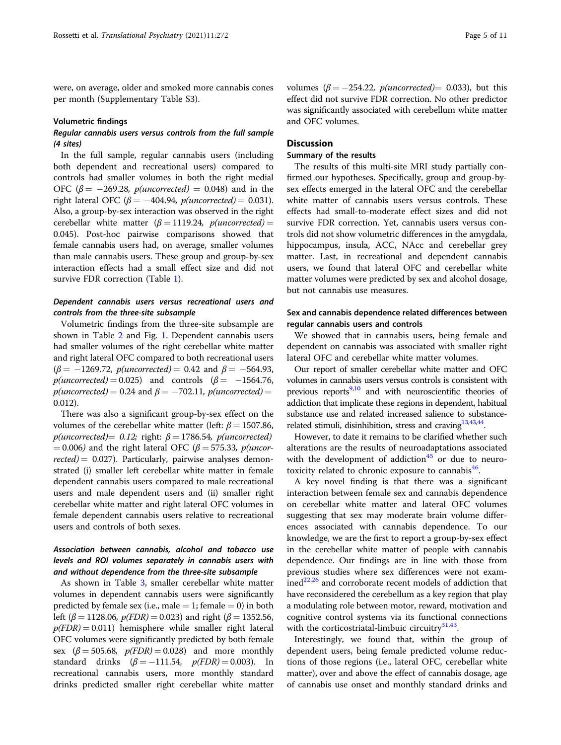were, on average, older and smoked more cannabis cones per month (Supplementary Table S3).

#### Volumetric findings

# Regular cannabis users versus controls from the full sample (4 sites)

In the full sample, regular cannabis users (including both dependent and recreational users) compared to controls had smaller volumes in both the right medial OFC ( $\beta$  = -269.28, *p*(*uncorrected*) = 0.048) and in the right lateral OFC ( $\beta$  = -404.94, p(uncorrected) = 0.031). Also, a group-by-sex interaction was observed in the right cerebellar white matter ( $\beta = 1119.24$ , p(uncorrected) = 0.045). Post-hoc pairwise comparisons showed that female cannabis users had, on average, smaller volumes than male cannabis users. These group and group-by-sex interaction effects had a small effect size and did not survive FDR correction (Table [1](#page-3-0)).

# Dependent cannabis users versus recreational users and controls from the three-site subsample

Volumetric findings from the three-site subsample are shown in Table [2](#page-5-0) and Fig. [1](#page-6-0). Dependent cannabis users had smaller volumes of the right cerebellar white matter and right lateral OFC compared to both recreational users  $(\beta = -1269.72, p(uncorrected) = 0.42 \text{ and } \beta = -564.93,$  $p(uncorrected) = 0.025)$  and controls  $(\beta = -1564.76,$  $p(uncorrected) = 0.24$  and  $\beta = -702.11$ ,  $p(uncorrected) =$ 0.012).

There was also a significant group-by-sex effect on the volumes of the cerebellar white matter (left:  $\beta = 1507.86$ , p(uncorrected)= 0.12; right:  $\beta$  = 1786.54, p(uncorrected)  $= 0.006$ ) and the right lateral OFC ( $\beta = 575.33$ , p(uncor $rected$ ) = 0.027). Particularly, pairwise analyses demonstrated (i) smaller left cerebellar white matter in female dependent cannabis users compared to male recreational users and male dependent users and (ii) smaller right cerebellar white matter and right lateral OFC volumes in female dependent cannabis users relative to recreational users and controls of both sexes.

# Association between cannabis, alcohol and tobacco use levels and ROI volumes separately in cannabis users with and without dependence from the three-site subsample

As shown in Table [3,](#page-7-0) smaller cerebellar white matter volumes in dependent cannabis users were significantly predicted by female sex (i.e., male  $= 1$ ; female  $= 0$ ) in both left ( $\beta$  = 1128.06,  $p(FDR)$  = 0.023) and right ( $\beta$  = 1352.56,  $p(FDR) = 0.011$ ) hemisphere while smaller right lateral OFC volumes were significantly predicted by both female sex  $(\beta = 505.68, p(FDR) = 0.028)$  and more monthly standard drinks  $(\beta = -111.54, p(FDR) = 0.003)$ . In recreational cannabis users, more monthly standard drinks predicted smaller right cerebellar white matter was significantly associated with cerebellum white matter

#### **Discussion**

and OFC volumes.

#### Summary of the results

The results of this multi-site MRI study partially confirmed our hypotheses. Specifically, group and group-bysex effects emerged in the lateral OFC and the cerebellar white matter of cannabis users versus controls. These effects had small-to-moderate effect sizes and did not survive FDR correction. Yet, cannabis users versus controls did not show volumetric differences in the amygdala, hippocampus, insula, ACC, NAcc and cerebellar grey matter. Last, in recreational and dependent cannabis users, we found that lateral OFC and cerebellar white matter volumes were predicted by sex and alcohol dosage, but not cannabis use measures.

# Sex and cannabis dependence related differences between regular cannabis users and controls

We showed that in cannabis users, being female and dependent on cannabis was associated with smaller right lateral OFC and cerebellar white matter volumes.

Our report of smaller cerebellar white matter and OFC volumes in cannabis users versus controls is consistent with previous reports<sup>9,[10](#page-9-0)</sup> and with neuroscientific theories of addiction that implicate these regions in dependent, habitual substance use and related increased salience to substance-related stimuli, disinhibition, stress and craving<sup>13[,43](#page-10-0),44</sup>.

However, to date it remains to be clarified whether such alterations are the results of neuroadaptations associated with the development of addiction<sup>[45](#page-10-0)</sup> or due to neurotoxicity related to chronic exposure to cannabis $46$ .

A key novel finding is that there was a significant interaction between female sex and cannabis dependence on cerebellar white matter and lateral OFC volumes suggesting that sex may moderate brain volume differences associated with cannabis dependence. To our knowledge, we are the first to report a group-by-sex effect in the cerebellar white matter of people with cannabis dependence. Our findings are in line with those from previous studies where sex differences were not exam $i$ ned<sup>[22,26](#page-9-0)</sup> and corroborate recent models of addiction that have reconsidered the cerebellum as a key region that play a modulating role between motor, reward, motivation and cognitive control systems via its functional connections with the corticostriatal-limbuic circuitry $31,43$  $31,43$  $31,43$ .

Interestingly, we found that, within the group of dependent users, being female predicted volume reductions of those regions (i.e., lateral OFC, cerebellar white matter), over and above the effect of cannabis dosage, age of cannabis use onset and monthly standard drinks and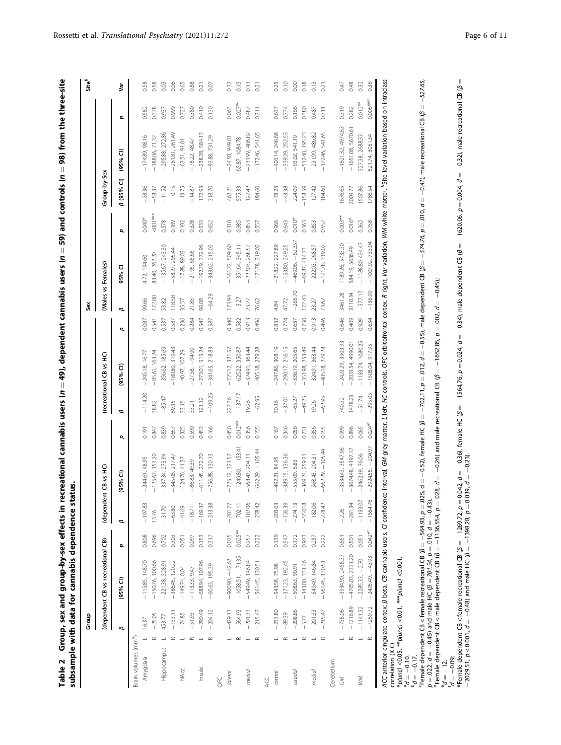<span id="page-5-0"></span>

| ē | í<br>$\frac{2}{3}$<br>ex ettect<br>ייומיימי היי<br> <br> <br> <br>s<br>Sama<br>≚<br>ٔ,<br>ŝ | I<br>$\frac{1}{2}$ and $\frac{1}{2}$<br>$\overline{a}$<br>ì<br>7<br>$\overline{\phantom{a}}$ |  |
|---|---------------------------------------------------------------------------------------------|----------------------------------------------------------------------------------------------|--|
|   |                                                                                             |                                                                                              |  |

| 13.76<br>ø<br>$0.042$ <sup>*e</sup><br>$0.025**$ <sup>3</sup><br>0.075<br>0.139<br>0.808<br>0.696<br>0.317<br>0.303<br>0.153<br>0.257<br>0.222<br>0.973<br>0.702<br>0.547<br>0.172<br>0.222<br>0.097<br>0.257<br>0.651<br>0.501<br>0.051<br>0.051<br>(dependent CB vs recreational CB)<br>đ,<br>$-4765.03, 2331.20$<br>$-3934.90, 2458.37$<br>$-43.93$<br>$-1058.51, -71.35$<br>$-2.70$<br>$-900.90, -42.62$<br>-549.49, 146.84<br>$-115.85, 148.70$<br>$-150.76, 100.66$<br>$-688.94, 107.96$<br>$-371.23, 192.45$<br>$-343.00, 331.46$<br>-549.49, 146.84<br>$-386.45, 120.22$<br>$-561.45, 13051$<br>$-561.45, 130.51$<br>$-221.38, 328.9$<br>$-60.63, 195.39$<br>-543.58, 75.98<br>$-508.63, 90.91$<br>$-149.74,0.04$<br>$-113.33, 9.47$<br>$-2285.33,$<br>$-2495.49$<br>$(95%$ CI)<br>$-1216.89$<br>$-1141.32$<br>$-1269.72$<br>$-738.06$<br>$-290.49$<br>$-233.80$<br>$-204.12$<br>$-429.13$<br>$-564.93$<br>$-201.33$<br>$-215.47$<br>$-208.86$<br>$-201.33$<br>$-215.47$<br>$-133.11$<br>$-89.39$<br>$-51.93$<br>$-74.85$<br>$-25.05$<br>453.77<br>$-5.77$<br>16.37<br>ø<br>Brain volumes (mm <sup>3</sup> )<br>$\simeq$<br>$\propto$<br>$\simeq$<br>$\simeq$<br>$\simeq$<br>$\simeq$<br>$\simeq$<br>$\simeq$<br>$\alpha$<br>$\simeq$<br>$\overline{\phantom{a}}$<br>$\propto$<br>$\overline{\phantom{a}}$<br>Hippocampus<br>Amygdala<br>Cerebellum<br>Insula<br>NAcc<br>medial<br>caudal<br>medial<br>lateral<br>rostral<br>ЖM<br>$\lesssim$ |                      |                          |              |           |                         |       | Šex       |                    |             |              |                     |              | ទី            |
|-------------------------------------------------------------------------------------------------------------------------------------------------------------------------------------------------------------------------------------------------------------------------------------------------------------------------------------------------------------------------------------------------------------------------------------------------------------------------------------------------------------------------------------------------------------------------------------------------------------------------------------------------------------------------------------------------------------------------------------------------------------------------------------------------------------------------------------------------------------------------------------------------------------------------------------------------------------------------------------------------------------------------------------------------------------------------------------------------------------------------------------------------------------------------------------------------------------------------------------------------------------------------------------------------------------------------------------------------------------------------------------------------------------------------------------------------------|----------------------|--------------------------|--------------|-----------|-------------------------|-------|-----------|--------------------|-------------|--------------|---------------------|--------------|---------------|
| ACC<br><b>UFC</b>                                                                                                                                                                                                                                                                                                                                                                                                                                                                                                                                                                                                                                                                                                                                                                                                                                                                                                                                                                                                                                                                                                                                                                                                                                                                                                                                                                                                                                     | (dependent CB vs HC) |                          |              |           | (recreational CB vs HC) |       |           | (Males vs Females) |             | Group-by-Sex |                     |              |               |
|                                                                                                                                                                                                                                                                                                                                                                                                                                                                                                                                                                                                                                                                                                                                                                                                                                                                                                                                                                                                                                                                                                                                                                                                                                                                                                                                                                                                                                                       |                      | $(95%$ CI)               | đ,           | ø         | 95% CI)                 | đ,    | ø         | 95% CI             | p           | β (95% CI)   | $(95%$ CI)          | p            | Š             |
|                                                                                                                                                                                                                                                                                                                                                                                                                                                                                                                                                                                                                                                                                                                                                                                                                                                                                                                                                                                                                                                                                                                                                                                                                                                                                                                                                                                                                                                       |                      |                          |              |           |                         |       |           |                    |             |              |                     |              |               |
|                                                                                                                                                                                                                                                                                                                                                                                                                                                                                                                                                                                                                                                                                                                                                                                                                                                                                                                                                                                                                                                                                                                                                                                                                                                                                                                                                                                                                                                       | $-197.83$            | $-244.61, 48.95$         | 0.191        | $-114.20$ | $-245.18, 16.77$        | 0.087 | 99.66     | 4.72, 194.60       | $0.040*$    | $-38.36$     | $-174.89, 98.16$    | 0.582        | 0.58          |
|                                                                                                                                                                                                                                                                                                                                                                                                                                                                                                                                                                                                                                                                                                                                                                                                                                                                                                                                                                                                                                                                                                                                                                                                                                                                                                                                                                                                                                                       |                      | $-125.67, 153.20$        | 0.847        | 38.82     | 85.61, 163.24           | 0.541 | 172.80    | 83.40, 262.20      | $500 + 100$ | $-58.37$     | $-188.06, 71.32$    | 0.378        | 0.58          |
|                                                                                                                                                                                                                                                                                                                                                                                                                                                                                                                                                                                                                                                                                                                                                                                                                                                                                                                                                                                                                                                                                                                                                                                                                                                                                                                                                                                                                                                       | $-31.70$             | $-337.34, 273.94$        | 0.839        | $-85.47$  | $-356.62, 185.69$       | 0.537 | 53.82     | $-135.67, 243.30$  | 0.578       | $-11.52$     | $-295.88, 272.86$   | 0.937        | 0.03          |
|                                                                                                                                                                                                                                                                                                                                                                                                                                                                                                                                                                                                                                                                                                                                                                                                                                                                                                                                                                                                                                                                                                                                                                                                                                                                                                                                                                                                                                                       | $-63.80$             | $-345.06, 217.47$        | 0.657        | 69.15     | $-180.80, 319.43$       | 0.587 | 118.58    | $-58.27, 295.44$   | 0.189       | 0.15         | $-261.81, 261.49$   | 0.999        | 0.06          |
|                                                                                                                                                                                                                                                                                                                                                                                                                                                                                                                                                                                                                                                                                                                                                                                                                                                                                                                                                                                                                                                                                                                                                                                                                                                                                                                                                                                                                                                       | $-41.69$             | $-124.76, 41.37$         | 0.325        | 33.15     | $-40.97, 107.29$        | 0.236 | 35.57     | $-17.88, 89.03$    | 0.192       | 13.75        | $-63.51, 91.01$     | 0.727        | 0.65          |
|                                                                                                                                                                                                                                                                                                                                                                                                                                                                                                                                                                                                                                                                                                                                                                                                                                                                                                                                                                                                                                                                                                                                                                                                                                                                                                                                                                                                                                                       | $-18.71$             | $-86.83, 49.39$          | 0.590        | 33.21     | $-27.58, -94.00$        | 0.284 | 21.85     | $-21.95, 65.65$    | 0.328       | $-14.87$     | $-78.22,48.47$      | 0.380        | 0.88          |
|                                                                                                                                                                                                                                                                                                                                                                                                                                                                                                                                                                                                                                                                                                                                                                                                                                                                                                                                                                                                                                                                                                                                                                                                                                                                                                                                                                                                                                                       | $-169.37$            | $-611.45, 272.70$        | 0.453        | 121.12    | $-273.01, 515.24$       | 0.547 | 90.08     | $-192.79, 372.96$  | 0.533       | 172.93       | $-238.28, 584.13$   | 0.410        | 0.21          |
|                                                                                                                                                                                                                                                                                                                                                                                                                                                                                                                                                                                                                                                                                                                                                                                                                                                                                                                                                                                                                                                                                                                                                                                                                                                                                                                                                                                                                                                       | $-313.38$            | $-756.88, 130.13$        | 0.166        | $-109.25$ | 341.65, 218.83          | 0.587 | $-64.29$  | $-343.62, 215.03$  | 0.652       | 318.70       | $-93.88, 731.29$    | 0.130        | 0.07          |
|                                                                                                                                                                                                                                                                                                                                                                                                                                                                                                                                                                                                                                                                                                                                                                                                                                                                                                                                                                                                                                                                                                                                                                                                                                                                                                                                                                                                                                                       |                      |                          |              |           |                         |       |           |                    |             |              |                     |              |               |
|                                                                                                                                                                                                                                                                                                                                                                                                                                                                                                                                                                                                                                                                                                                                                                                                                                                                                                                                                                                                                                                                                                                                                                                                                                                                                                                                                                                                                                                       | $-201.77$            | $-725.12, 321.57$        | 0.450        | 227.36    | $-725.12, 321.57$       | 0.340 | 173.94    | $-161.72, 509.60$  | 0.310       | 462.21       | $-24.58, 949.01$    | 0.063        | 0.32          |
|                                                                                                                                                                                                                                                                                                                                                                                                                                                                                                                                                                                                                                                                                                                                                                                                                                                                                                                                                                                                                                                                                                                                                                                                                                                                                                                                                                                                                                                       | $-702.11$            | $-124980, -1534$         | $0.012*^{b}$ | $-137.17$ | $-625.22, 350.87$       | 0.582 | $-3.27$   | $-351.64, 345.11$  | 0.985       | 575.33       | 65.87, 1084.78      | $0.027**$    | 0.15          |
|                                                                                                                                                                                                                                                                                                                                                                                                                                                                                                                                                                                                                                                                                                                                                                                                                                                                                                                                                                                                                                                                                                                                                                                                                                                                                                                                                                                                                                                       | $-182.06$            | $-568.43, 204.31$        | 0.356        | 19.26     | $-324.91, 363.44$       | 0.913 | 23.27     | $-222.03, 268.57$  | 0.853       | 127.42       | $-231.99, 486.82$   | 0.487        | 0.13          |
|                                                                                                                                                                                                                                                                                                                                                                                                                                                                                                                                                                                                                                                                                                                                                                                                                                                                                                                                                                                                                                                                                                                                                                                                                                                                                                                                                                                                                                                       | $-278.42$            | $-662.29, -105.44$       | 0.155        | $-62.95$  | $-405.18, 279.28$       | 0.496 | 76.62     | $-171.78, 319.02$  | 0.557       | 184.60       | $-172.46, 541.65$   | 0.311        | 0.21          |
|                                                                                                                                                                                                                                                                                                                                                                                                                                                                                                                                                                                                                                                                                                                                                                                                                                                                                                                                                                                                                                                                                                                                                                                                                                                                                                                                                                                                                                                       |                      |                          |              |           |                         |       |           |                    |             |              |                     |              |               |
|                                                                                                                                                                                                                                                                                                                                                                                                                                                                                                                                                                                                                                                                                                                                                                                                                                                                                                                                                                                                                                                                                                                                                                                                                                                                                                                                                                                                                                                       | $-203.63$            | $-492.21, 84.95$         | 0.167        | 30.16     | 247.86, 308.19          | 0.832 | 4.84      | $-218.22, 227.89$  | 0.966       | $-78.23$     | -403.14, 246.68     | 0.637        | 0.25          |
|                                                                                                                                                                                                                                                                                                                                                                                                                                                                                                                                                                                                                                                                                                                                                                                                                                                                                                                                                                                                                                                                                                                                                                                                                                                                                                                                                                                                                                                       | $-126.39$            | $-389.15, 136.36$        | 0346         | $-37.01$  | $-290.17, 216.15$       | 0.774 | 47.72     | $-153.80, 249.25$  | 0.643       | $-43.38$     | $-339.29, 252.53$   | 0.774        | 0.10          |
|                                                                                                                                                                                                                                                                                                                                                                                                                                                                                                                                                                                                                                                                                                                                                                                                                                                                                                                                                                                                                                                                                                                                                                                                                                                                                                                                                                                                                                                       | $-274.13$            | $-555.09, 6.83$          | 0.056        | $-65.27$  | $-336.19, 205.65$       | 0.637 | $-265.70$ | $-469.06, -62.357$ | $0.010*$    | 224.09       | $-93.02, 541.19$    | 0.166        | 600           |
|                                                                                                                                                                                                                                                                                                                                                                                                                                                                                                                                                                                                                                                                                                                                                                                                                                                                                                                                                                                                                                                                                                                                                                                                                                                                                                                                                                                                                                                       | $-55.018$            | $-369.24, 259.2$         | 0.731        | $-49.25$  | $-351.98, 253.49$       | 0.750 | 172.43    | $-69.87, 414.73$   | 0.163       | $-158.59$    | $-512.40, 195.23$   | 0.380        | 0.18          |
|                                                                                                                                                                                                                                                                                                                                                                                                                                                                                                                                                                                                                                                                                                                                                                                                                                                                                                                                                                                                                                                                                                                                                                                                                                                                                                                                                                                                                                                       | $-182.06$            | $-568.43, 204.31$        | 0.356        | 19.26     | $-324.91, 363.44$       | 0.913 | 23.27     | $-22203, 268.57$   | 0.853       | 127.42       | $-231.99, 486.82$   | 0.487        | $\frac{3}{2}$ |
|                                                                                                                                                                                                                                                                                                                                                                                                                                                                                                                                                                                                                                                                                                                                                                                                                                                                                                                                                                                                                                                                                                                                                                                                                                                                                                                                                                                                                                                       | $-278.42$            | $-662.29, -105.44$       | 0.155        | $-62.95$  | $-405.18, 279.28$       | 0.496 | 73.62     | $-171.78, 319.02$  | 0.557       | 184.60       | $-172.46, 541.65$   | 0.311        | 0.21          |
|                                                                                                                                                                                                                                                                                                                                                                                                                                                                                                                                                                                                                                                                                                                                                                                                                                                                                                                                                                                                                                                                                                                                                                                                                                                                                                                                                                                                                                                       |                      |                          |              |           |                         |       |           |                    |             |              |                     |              |               |
|                                                                                                                                                                                                                                                                                                                                                                                                                                                                                                                                                                                                                                                                                                                                                                                                                                                                                                                                                                                                                                                                                                                                                                                                                                                                                                                                                                                                                                                       | $-2.26$              | -3534.43, 3547.96        | 0.999        | 740.32    | $-2423.29, 3903.93$     | 0.646 | 3461.28   | 1189.26, 5733.30   | $0.003***$  | 1676.65      | $-1621.32, 4974.63$ | 0.319        | 0.47          |
|                                                                                                                                                                                                                                                                                                                                                                                                                                                                                                                                                                                                                                                                                                                                                                                                                                                                                                                                                                                                                                                                                                                                                                                                                                                                                                                                                                                                                                                       | $-261.34$            | $-367448, 4197.17$       | 0.896        | 1478.23   | $-2033.54, 4990.01$     | 0.409 | 3110.34   | 584.19, 5636.49    | $0.016*$    | 2009.77      | $-1651.08, 5670.61$ | 0.282        | 0.48          |
|                                                                                                                                                                                                                                                                                                                                                                                                                                                                                                                                                                                                                                                                                                                                                                                                                                                                                                                                                                                                                                                                                                                                                                                                                                                                                                                                                                                                                                                       | $-1193.07$           | 76.06<br>$-2462.19$ ,    | 0.065        | $-51.74$  | $-1183.74, 1080.25$     | 0.929 | $-377.17$ | $-1188.80434.47$   | 0.362       | 1507.86      | 327.38, 2688.33     | $0.012^{*d}$ | 0.32          |
|                                                                                                                                                                                                                                                                                                                                                                                                                                                                                                                                                                                                                                                                                                                                                                                                                                                                                                                                                                                                                                                                                                                                                                                                                                                                                                                                                                                                                                                       | $-1564.76$           | $-204.97$<br>$-2924.55,$ | $0.024**$    | $-295.05$ | 917.95<br>$-1508.04$    | 0.634 | $-136.99$ | $-1007.92, 733.94$ | 0.758       | 1786.54      | 521.74, 3051.34     | $0.006***$   | 0.36          |
| ACC anterior cingulate cortex; B beta, CB cannabis users, CI confidence interval, GM grey matter, L left, HC controls, OFC orbitofrontal cortex, R right, Var variation, WM white matter. <sup>8</sup> Site level variation based on int                                                                                                                                                                                                                                                                                                                                                                                                                                                                                                                                                                                                                                                                                                                                                                                                                                                                                                                                                                                                                                                                                                                                                                                                              |                      |                          |              |           |                         |       |           |                    |             |              |                     |              |               |
| $*$ p(unc) <0.05, $**$ p(unc) <0.01, $***$ p(unc) <0.001.<br>correlation (ICC)                                                                                                                                                                                                                                                                                                                                                                                                                                                                                                                                                                                                                                                                                                                                                                                                                                                                                                                                                                                                                                                                                                                                                                                                                                                                                                                                                                        |                      |                          |              |           |                         |       |           |                    |             |              |                     |              |               |
| $d = -0.10$ .                                                                                                                                                                                                                                                                                                                                                                                                                                                                                                                                                                                                                                                                                                                                                                                                                                                                                                                                                                                                                                                                                                                                                                                                                                                                                                                                                                                                                                         |                      |                          |              |           |                         |       |           |                    |             |              |                     |              |               |
| 'Female dependent CB < female recreational CB ( $\beta$ = –564.93, p = .025, d = –0.52), female HC ( $\beta$ = –702.11, p = .012, d = –0.53), male dependent CB ( $\beta$ = –574.76, p = .010, d = –0.41), male recreational CB ( $\beta$ = –<br>$L10 - 9q$                                                                                                                                                                                                                                                                                                                                                                                                                                                                                                                                                                                                                                                                                                                                                                                                                                                                                                                                                                                                                                                                                                                                                                                           |                      |                          |              |           |                         |       |           |                    |             |              |                     |              |               |

 $^4$ Female dependent CB < male dependent CB ( $\beta = -11$ 36.554,  $\rho = .028$ ,  $d = -0.26$ ) and male recreational CB ( $\beta = -1652.85$ ,  $\rho = .002$ ,  $d = -0.45$ );

gFemale dependent CB < female recreational CB (β = −1269.72, p = 0.042, d = −0.36), female HC (β = −1564.76, p = 0.024, d = −0.34), male dependent CB (β = −1620.06, p = 0.004, d = −0.32), male recreational CB (β =

 $\frac{6}{d} = \frac{-12}{-0.09}$ 

−2029.51, p < 0.001, d = −0.48) and male HC (β = −1398.28, p = 0.039, d = −0.23).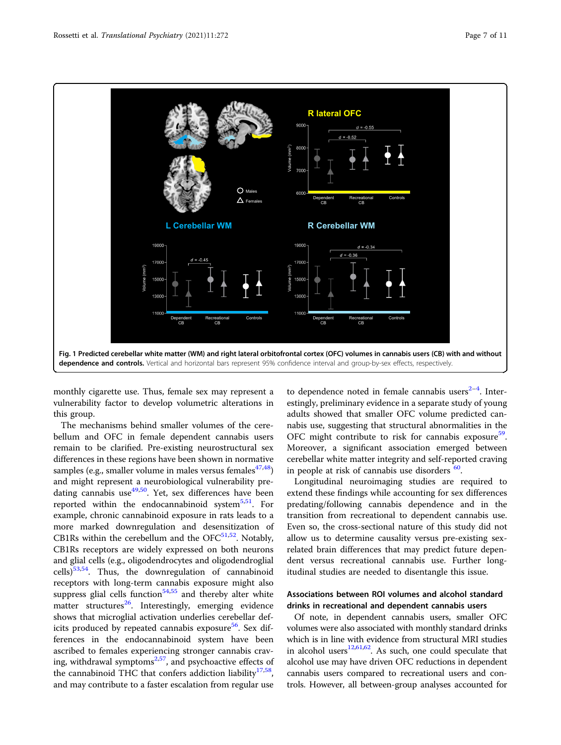<span id="page-6-0"></span>

monthly cigarette use. Thus, female sex may represent a vulnerability factor to develop volumetric alterations in this group.

The mechanisms behind smaller volumes of the cerebellum and OFC in female dependent cannabis users remain to be clarified. Pre-existing neurostructural sex differences in these regions have been shown in normative samples (e.g., smaller volume in males versus females $47,48$ ) and might represent a neurobiological vulnerability pre-dating cannabis use<sup>[49](#page-10-0),50</sup>. Yet, sex differences have been reported within the endocannabinoid system $5.51$ . For example, chronic cannabinoid exposure in rats leads to a more marked downregulation and desensitization of CB1Rs within the cerebellum and the  $OFC^{51,52}$ . Notably, CB1Rs receptors are widely expressed on both neurons and glial cells (e.g., oligodendrocytes and oligodendroglial  $\text{cells}$ <sup>53,54</sup>. Thus, the downregulation of cannabinoid receptors with long-term cannabis exposure might also suppress glial cells function $54,55$  and thereby alter white matter structures<sup>[26](#page-9-0)</sup>. Interestingly, emerging evidence shows that microglial activation underlies cerebellar deficits produced by repeated cannabis exposure<sup>56</sup>. Sex differences in the endocannabinoid system have been ascribed to females experiencing stronger cannabis craving, withdrawal symptoms $2,57$  $2,57$ , and psychoactive effects of the cannabinoid THC that confers addiction liability<sup>[17](#page-9-0)[,58](#page-10-0)</sup>, and may contribute to a faster escalation from regular use

to dependence noted in female cannabis users $2-4$  $2-4$  $2-4$ . Interestingly, preliminary evidence in a separate study of young adults showed that smaller OFC volume predicted cannabis use, suggesting that structural abnormalities in the OFC might contribute to risk for cannabis exposure<sup>[59](#page-10-0)</sup>. Moreover, a significant association emerged between cerebellar white matter integrity and self-reported craving in people at risk of cannabis use disorders <sup>60</sup>.

Longitudinal neuroimaging studies are required to extend these findings while accounting for sex differences predating/following cannabis dependence and in the transition from recreational to dependent cannabis use. Even so, the cross-sectional nature of this study did not allow us to determine causality versus pre-existing sexrelated brain differences that may predict future dependent versus recreational cannabis use. Further longitudinal studies are needed to disentangle this issue.

### Associations between ROI volumes and alcohol standard drinks in recreational and dependent cannabis users

Of note, in dependent cannabis users, smaller OFC volumes were also associated with monthly standard drinks which is in line with evidence from structural MRI studies in alcohol users $12,61,62$ . As such, one could speculate that alcohol use may have driven OFC reductions in dependent cannabis users compared to recreational users and con-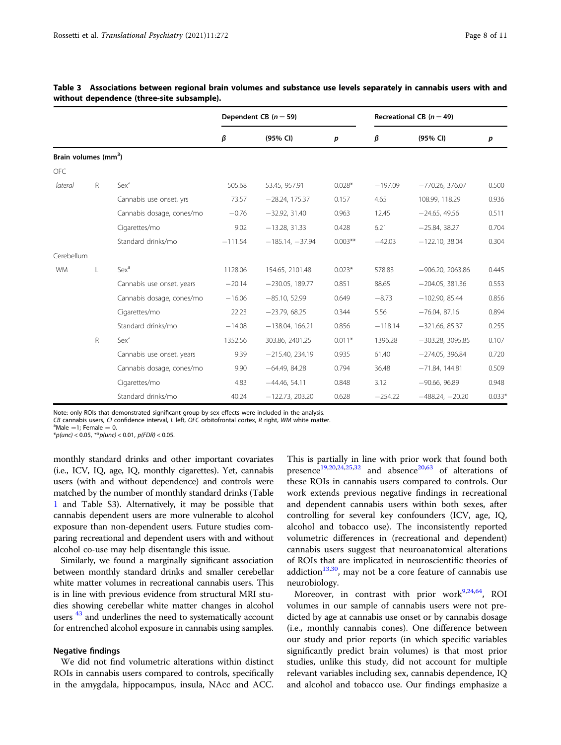|                                  |              |                           |           | Dependent CB $(n=59)$ |            |           | Recreational CB ( $n = 49$ ) |          |
|----------------------------------|--------------|---------------------------|-----------|-----------------------|------------|-----------|------------------------------|----------|
|                                  |              |                           | β         | (95% CI)              | p          | β         | (95% CI)                     | p        |
| Brain volumes (mm <sup>3</sup> ) |              |                           |           |                       |            |           |                              |          |
| <b>OFC</b>                       |              |                           |           |                       |            |           |                              |          |
| lateral                          | $\mathsf{R}$ | Sex <sup>a</sup>          | 505.68    | 53.45, 957.91         | $0.028*$   | $-197.09$ | $-770.26, 376.07$            | 0.500    |
|                                  |              | Cannabis use onset, yrs   | 73.57     | $-28.24, 175.37$      | 0.157      | 4.65      | 108.99, 118.29               | 0.936    |
|                                  |              | Cannabis dosage, cones/mo | $-0.76$   | $-32.92, 31.40$       | 0.963      | 12.45     | $-24.65, 49.56$              | 0.511    |
|                                  |              | Cigarettes/mo             | 9.02      | $-13.28, 31.33$       | 0.428      | 6.21      | $-25.84, 38.27$              | 0.704    |
|                                  |              | Standard drinks/mo        | $-111.54$ | $-185.14, -37.94$     | $0.003***$ | $-42.03$  | $-122.10, 38.04$             | 0.304    |
| Cerebellum                       |              |                           |           |                       |            |           |                              |          |
| <b>WM</b>                        | L            | Sex <sup>a</sup>          | 1128.06   | 154.65, 2101.48       | $0.023*$   | 578.83    | $-906.20, 2063.86$           | 0.445    |
|                                  |              | Cannabis use onset, years | $-20.14$  | $-230.05, 189.77$     | 0.851      | 88.65     | $-204.05, 381.36$            | 0.553    |
|                                  |              | Cannabis dosage, cones/mo | $-16.06$  | $-85.10, 52.99$       | 0.649      | $-8.73$   | $-102.90, 85.44$             | 0.856    |
|                                  |              | Cigarettes/mo             | 22.23     | $-23.79, 68.25$       | 0.344      | 5.56      | $-76.04, 87.16$              | 0.894    |
|                                  |              | Standard drinks/mo        | $-14.08$  | $-138.04, 166.21$     | 0.856      | $-118.14$ | $-321.66, 85.37$             | 0.255    |
|                                  | $\mathsf R$  | Sex <sup>a</sup>          | 1352.56   | 303.86, 2401.25       | $0.011*$   | 1396.28   | $-303.28, 3095.85$           | 0.107    |
|                                  |              | Cannabis use onset, years | 9.39      | $-215.40, 234.19$     | 0.935      | 61.40     | $-274.05.396.84$             | 0.720    |
|                                  |              | Cannabis dosage, cones/mo | 9.90      | $-64.49, 84.28$       | 0.794      | 36.48     | $-71.84, 144.81$             | 0.509    |
|                                  |              | Cigarettes/mo             | 4.83      | $-44.46, 54.11$       | 0.848      | 3.12      | $-90.66, 96.89$              | 0.948    |
|                                  |              | Standard drinks/mo        | 40.24     | $-122.73, 203.20$     | 0.628      | $-254.22$ | $-488.24, -20.20$            | $0.033*$ |

<span id="page-7-0"></span>

| Table 3 Associations between regional brain volumes and substance use levels separately in cannabis users with and |  |  |  |  |  |
|--------------------------------------------------------------------------------------------------------------------|--|--|--|--|--|
| without dependence (three-site subsample).                                                                         |  |  |  |  |  |

Note: only ROIs that demonstrated significant group-by-sex effects were included in the analysis.

CB cannabis users, CI confidence interval, L left, OFC orbitofrontal cortex, R right, WM white matter.

 $^{\circ}$ Male =1; Female = 0.

 $*$ p(unc) < 0.05,  $*$  $*$ p(unc) < 0.01, p(FDR) < 0.05.

monthly standard drinks and other important covariates (i.e., ICV, IQ, age, IQ, monthly cigarettes). Yet, cannabis users (with and without dependence) and controls were matched by the number of monthly standard drinks (Table [1](#page-3-0) and Table S3). Alternatively, it may be possible that cannabis dependent users are more vulnerable to alcohol exposure than non-dependent users. Future studies comparing recreational and dependent users with and without alcohol co-use may help disentangle this issue.

Similarly, we found a marginally significant association between monthly standard drinks and smaller cerebellar white matter volumes in recreational cannabis users. This is in line with previous evidence from structural MRI studies showing cerebellar white matter changes in alcohol users<sup>[43](#page-10-0)</sup> and underlines the need to systematically account for entrenched alcohol exposure in cannabis using samples.

#### Negative findings

We did not find volumetric alterations within distinct ROIs in cannabis users compared to controls, specifically in the amygdala, hippocampus, insula, NAcc and ACC.

This is partially in line with prior work that found both presence<sup>[19,20,24,25](#page-9-0),[32](#page-9-0)</sup> and absence<sup>[20,](#page-9-0)[63](#page-10-0)</sup> of alterations of these ROIs in cannabis users compared to controls. Our work extends previous negative findings in recreational and dependent cannabis users within both sexes, after controlling for several key confounders (ICV, age, IQ, alcohol and tobacco use). The inconsistently reported volumetric differences in (recreational and dependent) cannabis users suggest that neuroanatomical alterations of ROIs that are implicated in neuroscientific theories of addiction $13,30$ , may not be a core feature of cannabis use neurobiology.

Moreover, in contrast with prior work $9,24,64$  $9,24,64$  $9,24,64$  $9,24,64$  $9,24,64$ , ROI volumes in our sample of cannabis users were not predicted by age at cannabis use onset or by cannabis dosage (i.e., monthly cannabis cones). One difference between our study and prior reports (in which specific variables significantly predict brain volumes) is that most prior studies, unlike this study, did not account for multiple relevant variables including sex, cannabis dependence, IQ and alcohol and tobacco use. Our findings emphasize a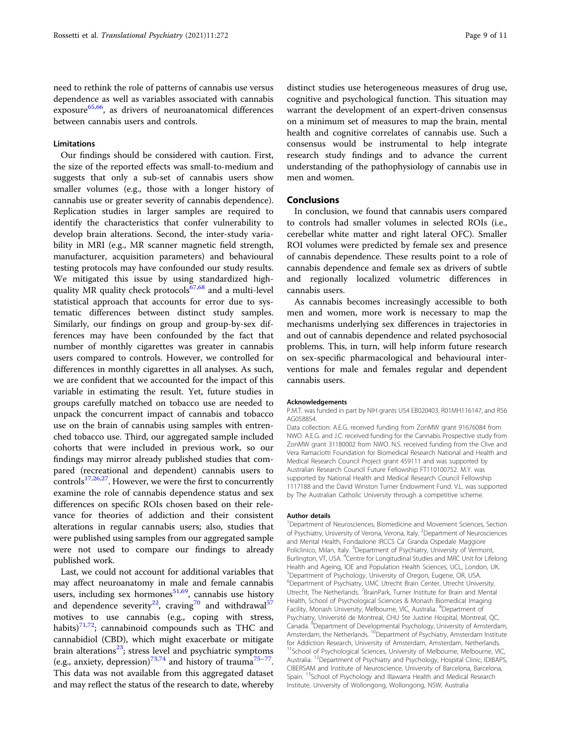#### Limitations

Our findings should be considered with caution. First, the size of the reported effects was small-to-medium and suggests that only a sub-set of cannabis users show smaller volumes (e.g., those with a longer history of cannabis use or greater severity of cannabis dependence). Replication studies in larger samples are required to identify the characteristics that confer vulnerability to develop brain alterations. Second, the inter-study variability in MRI (e.g., MR scanner magnetic field strength, manufacturer, acquisition parameters) and behavioural testing protocols may have confounded our study results. We mitigated this issue by using standardized high-quality MR quality check protocols<sup>[67,68](#page-10-0)</sup> and a multi-level statistical approach that accounts for error due to systematic differences between distinct study samples. Similarly, our findings on group and group-by-sex differences may have been confounded by the fact that number of monthly cigarettes was greater in cannabis users compared to controls. However, we controlled for differences in monthly cigarettes in all analyses. As such, we are confident that we accounted for the impact of this variable in estimating the result. Yet, future studies in groups carefully matched on tobacco use are needed to unpack the concurrent impact of cannabis and tobacco use on the brain of cannabis using samples with entrenched tobacco use. Third, our aggregated sample included cohorts that were included in previous work, so our findings may mirror already published studies that compared (recreational and dependent) cannabis users to controls $17,26,27$  $17,26,27$  $17,26,27$  $17,26,27$ . However, we were the first to concurrently examine the role of cannabis dependence status and sex differences on specific ROIs chosen based on their relevance for theories of addiction and their consistent alterations in regular cannabis users; also, studies that were published using samples from our aggregated sample were not used to compare our findings to already published work.

Last, we could not account for additional variables that may affect neuroanatomy in male and female cannabis users, including sex hormones $51,69$ , cannabis use history and dependence severity<sup>22</sup>, craving<sup>[70](#page-10-0)</sup> and withdrawal<sup>5</sup> motives to use cannabis (e.g., coping with stress, habits) $71,72$  $71,72$  $71,72$ ; cannabinoid compounds such as THC and cannabidiol (CBD), which might exacerbate or mitigate brain alterations $^{23}$ ; stress level and psychiatric symptoms (e.g., anxiety, depression)<sup>[73](#page-10-0),[74](#page-10-0)</sup> and history of trauma<sup>[75](#page-10-0)-[77](#page-10-0)</sup>. This data was not available from this aggregated dataset and may reflect the status of the research to date, whereby

distinct studies use heterogeneous measures of drug use, cognitive and psychological function. This situation may warrant the development of an expert-driven consensus on a minimum set of measures to map the brain, mental health and cognitive correlates of cannabis use. Such a consensus would be instrumental to help integrate research study findings and to advance the current understanding of the pathophysiology of cannabis use in men and women.

#### Conclusions

In conclusion, we found that cannabis users compared to controls had smaller volumes in selected ROIs (i.e., cerebellar white matter and right lateral OFC). Smaller ROI volumes were predicted by female sex and presence of cannabis dependence. These results point to a role of cannabis dependence and female sex as drivers of subtle and regionally localized volumetric differences in cannabis users.

As cannabis becomes increasingly accessible to both men and women, more work is necessary to map the mechanisms underlying sex differences in trajectories in and out of cannabis dependence and related psychosocial problems. This, in turn, will help inform future research on sex-specific pharmacological and behavioural interventions for male and females regular and dependent cannabis users.

#### Acknowledgements

P.M.T. was funded in part by NIH grants U54 EB020403, R01MH116147, and R56 AG058854.

Data collection: A.E.G. received funding from ZonMW grant 91676084 from NWO. A.E.G. and J.C. received funding for the Cannabis Prospective study from ZonMW grant 31180002 from NWO. N.S. received funding from the Clive and Vera Ramaciotti Foundation for Biomedical Research National and Health and Medical Research Council Project grant 459111 and was supported by Australian Research Council Future Fellowship FT110100752. M.Y. was supported by National Health and Medical Research Council Fellowship 1117188 and the David Winston Turner Endowment Fund. V.L. was supported by The Australian Catholic University through a competitive scheme.

#### Author details

<sup>1</sup>Department of Neurosciences, Biomedicine and Movement Sciences, Section of Psychiatry, University of Verona, Verona, Italy. <sup>2</sup>Department of Neurosciences and Mental Health, Fondazione IRCCS Ca' Granda Ospedale Maggiore Policlinico, Milan, Italy. <sup>3</sup>Department of Psychiatry, University of Vermont Burlington, VT, USA. <sup>4</sup>Centre for Longitudinal Studies and MRC Unit for Lifelong Health and Ageing, IOE and Population Health Sciences, UCL, London, UK. 5 Department of Psychology, University of Oregon, Eugene, OR, USA. 6 Department of Psychiatry, UMC Utrecht Brain Center, Utrecht University, Utrecht, The Netherlands. <sup>7</sup>BrainPark, Turner Institute for Brain and Mental Health, School of Psychological Sciences & Monash Biomedical Imaging Facility, Monash University, Melbourne, VIC, Australia. <sup>8</sup>Department of Psychiatry, Université de Montreal, CHU Ste Justine Hospital, Montreal, QC, Canada. <sup>9</sup> Department of Developmental Psychology, University of Amsterdam Amsterdam, the Netherlands. <sup>10</sup>Department of Psychiatry, Amsterdam Institute for Addiction Research, University of Amsterdam, Amsterdam, Netherlands. <sup>11</sup>School of Psychological Sciences, University of Melbourne, Melbourne, VIC, Australia. <sup>12</sup>Department of Psychiatry and Psychology, Hospital Clinic, IDIBAPS, CIBERSAM and Institute of Neuroscience, University of Barcelona, Barcelona, Spain. <sup>13</sup>School of Psychology and Illawarra Health and Medical Research Institute, University of Wollongong, Wollongong, NSW, Australia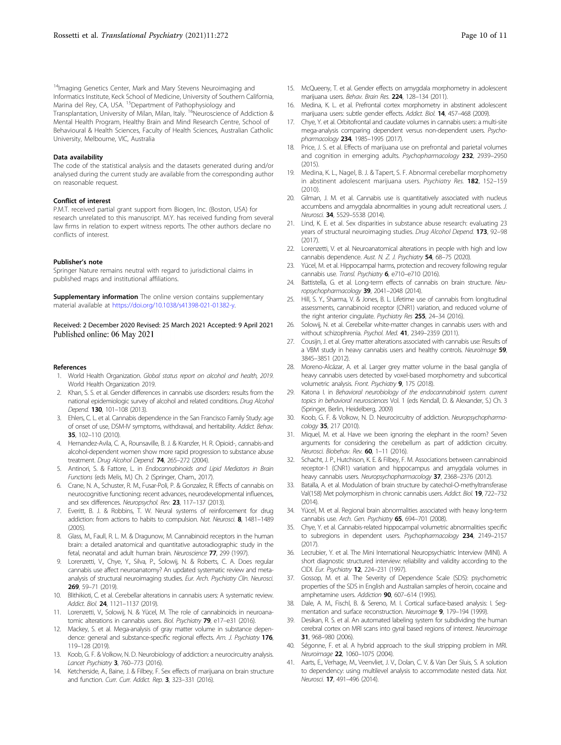<span id="page-9-0"></span><sup>14</sup>Imaging Genetics Center, Mark and Mary Stevens Neuroimaging and Informatics Institute, Keck School of Medicine, University of Southern California, Marina del Rey, CA, USA. <sup>15</sup>Department of Pathophysiology and Transplantation, University of Milan, Milan, Italy. <sup>16</sup>Neuroscience of Addiction & Mental Health Program, Healthy Brain and Mind Research Centre, School of Behavioural & Health Sciences, Faculty of Health Sciences, Australian Catholic University, Melbourne, VIC, Australia

#### Data availability

The code of the statistical analysis and the datasets generated during and/or analysed during the current study are available from the corresponding author on reasonable request.

#### Conflict of interest

P.M.T. received partial grant support from Biogen, Inc. (Boston, USA) for research unrelated to this manuscript. M.Y. has received funding from several law firms in relation to expert witness reports. The other authors declare no conflicts of interest.

#### Publisher's note

Springer Nature remains neutral with regard to jurisdictional claims in published maps and institutional affiliations.

Supplementary information The online version contains supplementary material available at <https://doi.org/10.1038/s41398-021-01382-y>.

Received: 2 December 2020 Revised: 25 March 2021 Accepted: 9 April 2021 Published online: 06 May 2021

#### References

- 1. World Health Organization. Global status report on alcohol and health, 2019. World Health Organization 2019.
- 2. Khan, S. S. et al. Gender differences in cannabis use disorders: results from the national epidemiologic survey of alcohol and related conditions. Drug Alcohol Depend. 130, 101–108 (2013).
- 3. Ehlers, C. L. et al. Cannabis dependence in the San Francisco Family Study: age of onset of use, DSM-IV symptoms, withdrawal, and heritability. Addict. Behav. 35, 102–110 (2010).
- 4. Hernandez-Avila, C. A., Rounsaville, B. J. & Kranzler, H. R. Opioid-, cannabis-and alcohol-dependent women show more rapid progression to substance abuse treatment. Drug Alcohol Depend. 74, 265–272 (2004).
- 5. Antinori, S. & Fattore, L. in Endocannabinoids and Lipid Mediators in Brain Functions (eds Melis, M.) Ch. 2 (Springer, Cham., 2017).
- 6. Crane, N. A., Schuster, R. M., Fusar-Poli, P. & Gonzalez, R. Effects of cannabis on neurocognitive functioning: recent advances, neurodevelopmental influences, and sex differences. Neuropsychol. Rev. 23, 117-137 (2013).
- 7. Everitt, B. J. & Robbins, T. W. Neural systems of reinforcement for drug addiction: from actions to habits to compulsion. Nat. Neurosci. 8, 1481-1489  $(2005)$
- 8. Glass, M., Faull, R. L. M. & Dragunow, M. Cannabinoid receptors in the human brain: a detailed anatomical and quantitative autoradiographic study in the fetal, neonatal and adult human brain. Neuroscience 77, 299 (1997).
- 9. Lorenzetti, V., Chye, Y., Silva, P., Solowij, N. & Roberts, C. A. Does regular cannabis use affect neuroanatomy? An updated systematic review and metaanalysis of structural neuroimaging studies. Eur. Arch. Psychiatry Clin. Neurosci. 269, 59–71 (2019).
- 10. Blithikioti, C. et al. Cerebellar alterations in cannabis users: A systematic review. Addict. Biol. 24, 1121-1137 (2019).
- 11. Lorenzetti, V., Solowij, N. & Yücel, M. The role of cannabinoids in neuroanatomic alterations in cannabis users. Biol. Psychiatry 79, e17-e31 (2016).
- 12. Mackey, S. et al. Mega-analysis of gray matter volume in substance dependence: general and substance-specific regional effects. Am. J. Psychiatry 176, 119–128 (2019).
- 13. Koob, G. F. & Volkow, N. D. Neurobiology of addiction: a neurocircuitry analysis. Lancet Psychiatry 3, 760–773 (2016).
- 14. Ketcherside, A., Baine, J. & Filbey, F. Sex effects of marijuana on brain structure and function. Curr. Curr. Addict. Rep. 3, 323–331 (2016).
- 15. McQueeny, T. et al. Gender effects on amygdala morphometry in adolescent marijuana users. Behav. Brain Res. 224, 128–134 (2011).
- 16. Medina, K. L. et al. Prefrontal cortex morphometry in abstinent adolescent marijuana users: subtle gender effects. Addict. Biol. 14, 457-468 (2009).
- 17. Chye, Y. et al. Orbitofrontal and caudate volumes in cannabis users: a multi-site mega-analysis comparing dependent versus non-dependent users. Psychopharmacology 234, 1985–1995 (2017).
- 18. Price, J. S. et al. Effects of marijuana use on prefrontal and parietal volumes and cognition in emerging adults. Psychopharmacology 232, 2939–2950  $(2015)$
- 19. Medina, K. L., Nagel, B. J. & Tapert, S. F. Abnormal cerebellar morphometry in abstinent adolescent marijuana users. Psychiatry Res. 182, 152-159 (2010).
- 20. Gilman, J. M. et al. Cannabis use is quantitatively associated with nucleus accumbens and amygdala abnormalities in young adult recreational users. J. Neurosci. 34, 5529–5538 (2014).
- 21. Lind, K. E. et al. Sex disparities in substance abuse research: evaluating 23 years of structural neuroimaging studies. Drug Alcohol Depend. 173, 92-98 (2017).
- 22. Lorenzetti, V. et al. Neuroanatomical alterations in people with high and low cannabis dependence. Aust. N. Z. J. Psychiatry 54, 68-75 (2020).
- 23. Yücel, M. et al. Hippocampal harms, protection and recovery following regular cannabis use. Transl. Psychiatry 6, e710-e710 (2016).
- 24. Battistella, G. et al. Long-term effects of cannabis on brain structure. Neuropsychopharmacology 39, 2041–2048 (2014).
- 25. Hill, S. Y., Sharma, V. & Jones, B. L. Lifetime use of cannabis from longitudinal assessments, cannabinoid receptor (CNR1) variation, and reduced volume of the right anterior cingulate. Psychiatry Res 255, 24-34 (2016).
- Solowij, N. et al. Cerebellar white-matter changes in cannabis users with and without schizophrenia. Psychol. Med. 41, 2349-2359 (2011).
- 27. Cousijn, J. et al. Grey matter alterations associated with cannabis use: Results of a VBM study in heavy cannabis users and healthy controls. NeuroImage 59, 3845–3851 (2012).
- 28. Moreno-Alcázar, A. et al. Larger grey matter volume in the basal ganglia of heavy cannabis users detected by voxel-based morphometry and subcortical volumetric analysis. Front. Psychiatry 9, 175 (2018).
- 29. Katona I. in Behavioral neurobiology of the endocannabinoid system. current topics in behavioral neurosciences Vol. 1 (eds Kendall, D. & Alexander, S.) Ch. 3 (Springer, Berlin, Heidelberg, 2009)
- 30. Koob, G. F. & Volkow, N. D. Neurocircuitry of addiction. Neuropsychopharmacology 35, 217 (2010).
- 31. Miquel, M. et al. Have we been ignoring the elephant in the room? Seven arguments for considering the cerebellum as part of addiction circuitry. Neurosci. Biobehav. Rev. 60, 1-11 (2016).
- 32. Schacht, J. P., Hutchison, K. E. & Filbey, F. M. Associations between cannabinoid receptor-1 (CNR1) variation and hippocampus and amygdala volumes in heavy cannabis users. Neuropsychopharmacology 37, 2368-2376 (2012).
- 33. Batalla, A. et al. Modulation of brain structure by catechol-O-methyltransferase Val(158) Met polymorphism in chronic cannabis users. Addict. Biol. 19, 722–732  $(2014)$
- 34. Yücel, M. et al. Regional brain abnormalities associated with heavy long-term cannabis use. Arch. Gen. Psychiatry 65, 694-701 (2008).
- 35. Chye, Y. et al. Cannabis-related hippocampal volumetric abnormalities specific to subregions in dependent users. Psychopharmacology 234, 2149-2157 (2017).
- 36. Lecrubier, Y. et al. The Mini International Neuropsychiatric Interview (MINI). A short diagnostic structured interview: reliability and validity according to the CIDI. Eur. Psychiatry 12, 224–231 (1997).
- 37. Gossop, M. et al. The Severity of Dependence Scale (SDS): psychometric properties of the SDS in English and Australian samples of heroin, cocaine and amphetamine users. Addiction 90, 607-614 (1995).
- 38. Dale, A. M., Fischl, B. & Sereno, M. I. Cortical surface-based analysis: I. Segmentation and surface reconstruction. Neuroimage 9, 179–194 (1999).
- Desikan, R. S. et al. An automated labeling system for subdividing the human cerebral cortex on MRI scans into gyral based regions of interest. Neuroimage 31, 968–980 (2006).
- 40. Ségonne, F. et al. A hybrid approach to the skull stripping problem in MRI. Neuroimage 22, 1060-1075 (2004).
- 41. Aarts, E., Verhage, M., Veenvliet, J. V., Dolan, C. V. & Van Der Sluis, S. A solution to dependency: using multilevel analysis to accommodate nested data. Nat. Neurosci. 17, 491–496 (2014).